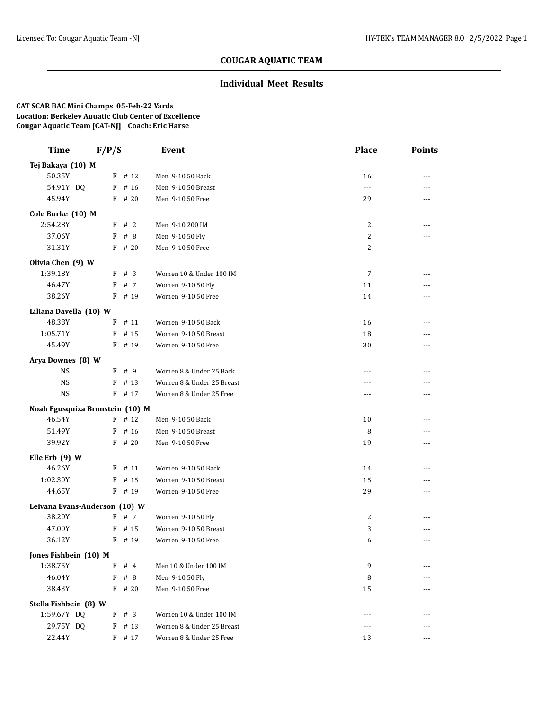### **Individual Meet Results**

| <b>Time</b>                     | F/P/S    | <b>Event</b>              | <b>Place</b>   | Points         |  |
|---------------------------------|----------|---------------------------|----------------|----------------|--|
| Tej Bakaya (10) M               |          |                           |                |                |  |
| 50.35Y                          | $F$ # 12 | Men 9-10 50 Back          | 16             | $\overline{a}$ |  |
| 54.91Y DQ                       | $F$ # 16 | Men 9-10 50 Breast        | $---$          | ---            |  |
| 45.94Y                          | $F$ # 20 | Men 9-10 50 Free          | 29             | ---            |  |
| Cole Burke (10) M               |          |                           |                |                |  |
| 2:54.28Y                        | F # 2    | Men 9-10 200 IM           | $\overline{2}$ | ---            |  |
| 37.06Y                          | # 8<br>F | Men 9-10 50 Fly           | $\overline{c}$ |                |  |
| 31.31Y                          | $F$ # 20 | Men 9-10 50 Free          | 2              | ---            |  |
| Olivia Chen (9) W               |          |                           |                |                |  |
| 1:39.18Y                        | $F$ # 3  | Women 10 & Under 100 IM   | $\overline{7}$ | ---            |  |
| 46.47Y                          | F # 7    | Women 9-10 50 Fly         | 11             | $---$          |  |
| 38.26Y                          | F # 19   | Women 9-10 50 Free        | 14             | ---            |  |
| Liliana Davella (10) W          |          |                           |                |                |  |
| 48.38Y                          | $F$ # 11 | Women 9-10 50 Back        | 16             | ---            |  |
| 1:05.71Y                        | $F$ # 15 | Women 9-10 50 Breast      | 18             | ---            |  |
| 45.49Y                          | F # 19   | Women 9-10 50 Free        | 30             | $---$          |  |
| Arya Downes (8) W               |          |                           |                |                |  |
| <b>NS</b>                       | F # 9    | Women 8 & Under 25 Back   | ---            | $---$          |  |
| <b>NS</b>                       | $F$ # 13 | Women 8 & Under 25 Breast | ---            | ---            |  |
| $_{\rm NS}$                     | F # 17   | Women 8 & Under 25 Free   | ---            | $---$          |  |
| Noah Egusquiza Bronstein (10) M |          |                           |                |                |  |
| 46.54Y                          | $F$ # 12 | Men 9-10 50 Back          | 10             | $---$          |  |
| 51.49Y                          | $F$ # 16 | Men 9-10 50 Breast        | 8              | ---            |  |
| 39.92Y                          | $F$ # 20 | Men 9-10 50 Free          | 19             | $- - -$        |  |
| Elle Erb (9) W                  |          |                           |                |                |  |
| 46.26Y                          | $F$ # 11 | Women 9-10 50 Back        | 14             | ---            |  |
| 1:02.30Y                        | $F$ # 15 | Women 9-10 50 Breast      | 15             | $---$          |  |
| 44.65Y                          | $F$ # 19 | Women 9-10 50 Free        | 29             | ---            |  |
| Leivana Evans-Anderson (10) W   |          |                           |                |                |  |
| 38.20Y                          | F # 7    | Women 9-10 50 Fly         | $\overline{c}$ | ---            |  |
| 47.00Y                          | $F$ # 15 | Women 9-10 50 Breast      | 3              |                |  |
| 36.12Y                          | $F$ # 19 | Women 9-10 50 Free        | 6              | ---            |  |
| Jones Fishbein (10) M           |          |                           |                |                |  |
| 1:38.75Y                        | F<br>#4  | Men 10 & Under 100 IM     | 9              | $---$          |  |
| 46.04Y                          | $F$ # 8  | Men 9-10 50 Fly           | 8              |                |  |
| 38.43Y                          | $F$ # 20 | Men 9-10 50 Free          | 15             | $---$          |  |
| Stella Fishbein (8) W           |          |                           |                |                |  |
| 1:59.67Y DQ                     | F # 3    | Women 10 & Under 100 IM   | ---            | ---            |  |
| 29.75Y DQ                       | $F$ # 13 | Women 8 & Under 25 Breast | ---            | ---            |  |
| 22.44Y                          | F # 17   | Women 8 & Under 25 Free   | 13             | ---            |  |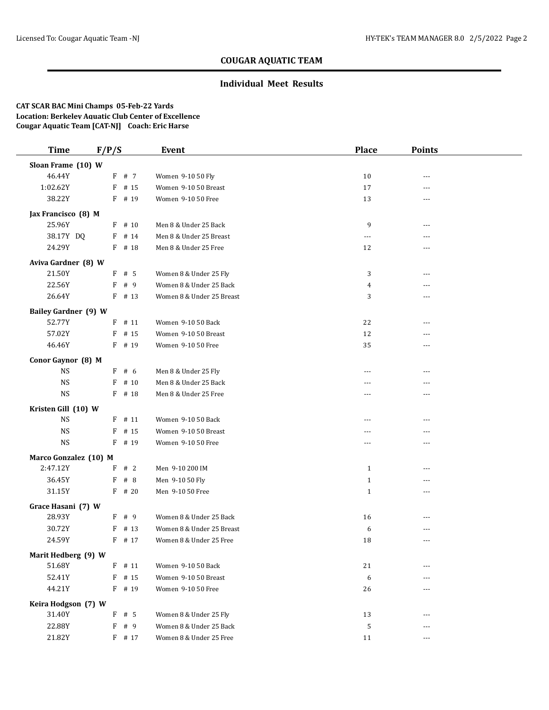### **Individual Meet Results**

| <b>Time</b>                 | F/P/S     | Event                     | <b>Place</b> | <b>Points</b>  |  |
|-----------------------------|-----------|---------------------------|--------------|----------------|--|
| Sloan Frame (10) W          |           |                           |              |                |  |
| 46.44Y                      | F # 7     | Women 9-10 50 Fly         | 10           | ---            |  |
| 1:02.62Y                    | $F$ # 15  | Women 9-10 50 Breast      | 17           | ---            |  |
| 38.22Y                      | $F$ # 19  | Women 9-10 50 Free        | 13           | ---            |  |
| Jax Francisco (8) M         |           |                           |              |                |  |
| 25.96Y                      | $F$ # 10  | Men 8 & Under 25 Back     | 9            | ---            |  |
| 38.17Y DQ                   | $F$ # 14  | Men 8 & Under 25 Breast   | ---          | ---            |  |
| 24.29Y                      | $F$ # 18  | Men 8 & Under 25 Free     | 12           | ---            |  |
| Aviva Gardner (8) W         |           |                           |              |                |  |
| 21.50Y                      | $F$ # 5   | Women 8 & Under 25 Fly    | 3            | ---            |  |
| 22.56Y                      | F # 9     | Women 8 & Under 25 Back   | 4            | ---            |  |
| 26.64Y                      | $F$ # 13  | Women 8 & Under 25 Breast | 3            | ---            |  |
|                             |           |                           |              |                |  |
| <b>Bailey Gardner (9) W</b> |           |                           |              |                |  |
| 52.77Y                      | $F$ # 11  | Women 9-10 50 Back        | 22           | ---            |  |
| 57.02Y                      | # 15<br>F | Women 9-10 50 Breast      | 12           | ---            |  |
| 46.46Y                      | $F$ # 19  | Women 9-10 50 Free        | 35           | ---            |  |
| Conor Gaynor (8) M          |           |                           |              |                |  |
| <b>NS</b>                   | $F$ # 6   | Men 8 & Under 25 Fly      | ---          | ---            |  |
| <b>NS</b>                   | $F$ # 10  | Men 8 & Under 25 Back     | $---$        | ---            |  |
| <b>NS</b>                   | $F$ # 18  | Men 8 & Under 25 Free     | ---          | ---            |  |
| Kristen Gill (10) W         |           |                           |              |                |  |
| <b>NS</b>                   | $F$ # 11  | Women 9-10 50 Back        | $---$        | ---            |  |
| <b>NS</b>                   | F<br># 15 | Women 9-10 50 Breast      | ---          |                |  |
| $_{\rm NS}$                 | F<br># 19 | Women 9-10 50 Free        | ---          | ---            |  |
| Marco Gonzalez (10) M       |           |                           |              |                |  |
| 2:47.12Y                    | $F$ # 2   | Men 9-10 200 IM           | $\mathbf{1}$ | ---            |  |
| 36.45Y                      | #8<br>F   | Men 9-10 50 Fly           | $\mathbf{1}$ | ---            |  |
| 31.15Y                      | $F$ # 20  | Men 9-10 50 Free          | $\mathbf{1}$ | $\overline{a}$ |  |
| Grace Hasani (7) W          |           |                           |              |                |  |
| 28.93Y                      | F # 9     | Women 8 & Under 25 Back   | 16           | ---            |  |
| 30.72Y                      | F<br># 13 | Women 8 & Under 25 Breast | 6            | ---            |  |
| 24.59Y                      | $F$ # 17  | Women 8 & Under 25 Free   | 18           | ---            |  |
| Marit Hedberg (9) W         |           |                           |              |                |  |
| 51.68Y                      | F<br># 11 | Women 9-10 50 Back        | 21           | ---            |  |
| 52.41Y                      | $F$ # 15  | Women 9-10 50 Breast      | 6            | ---            |  |
| 44.21Y                      | $F$ # 19  | Women 9-10 50 Free        | 26           |                |  |
| Keira Hodgson (7) W         |           |                           |              |                |  |
| 31.40Y                      | $F$ # 5   | Women 8 & Under 25 Fly    | 13           | ---            |  |
| 22.88Y                      | F # 9     | Women 8 & Under 25 Back   | $\sqrt{5}$   | ---            |  |
| 21.82Y                      | F # 17    | Women 8 & Under 25 Free   | 11           | ---            |  |
|                             |           |                           |              |                |  |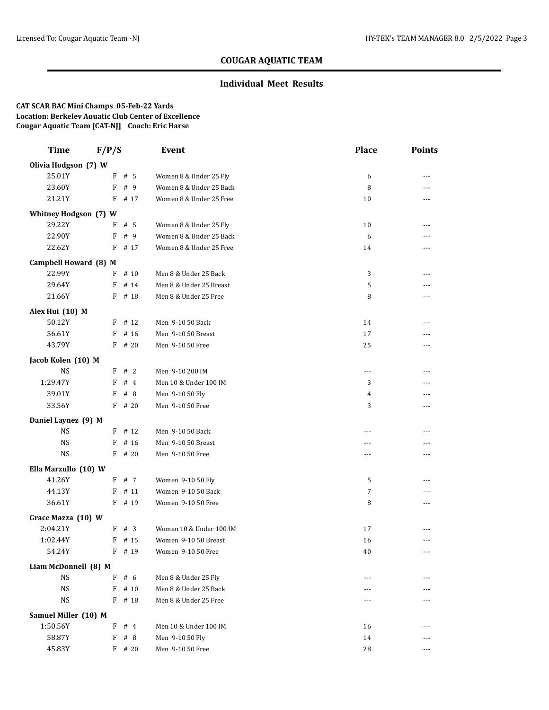### **Individual Meet Results**

| <b>Time</b>           | F/P/S     | Event                   | <b>Place</b> | <b>Points</b>                          |  |
|-----------------------|-----------|-------------------------|--------------|----------------------------------------|--|
| Olivia Hodgson (7) W  |           |                         |              |                                        |  |
| 25.01Y                | $F$ # 5   | Women 8 & Under 25 Fly  | 6            | ---                                    |  |
| 23.60Y                | F # 9     | Women 8 & Under 25 Back | 8            | $- - -$                                |  |
| 21.21Y                | $F$ # 17  | Women 8 & Under 25 Free | 10           | ---                                    |  |
| Whitney Hodgson (7) W |           |                         |              |                                        |  |
| 29.22Y                | $F$ # 5   | Women 8 & Under 25 Fly  | 10           | ---                                    |  |
| 22.90Y                | F # 9     | Women 8 & Under 25 Back | 6            |                                        |  |
| 22.62Y                | $F$ # 17  | Women 8 & Under 25 Free | 14           | $- - -$                                |  |
| Campbell Howard (8) M |           |                         |              |                                        |  |
| 22.99Y                | $F$ # 10  | Men 8 & Under 25 Back   | 3            | ---                                    |  |
| 29.64Y                | $F$ # 14  | Men 8 & Under 25 Breast | 5            | ---                                    |  |
| 21.66Y                | $F$ # 18  | Men 8 & Under 25 Free   | 8            | ---                                    |  |
| Alex Hui (10) M       |           |                         |              |                                        |  |
| 50.12Y                | $F$ # 12  | Men 9-10 50 Back        | 14           | ---                                    |  |
| 56.61Y                | # 16<br>F | Men 9-10 50 Breast      | 17           | ---                                    |  |
| 43.79Y                | $F$ # 20  | Men 9-10 50 Free        | 25           | ---                                    |  |
| Jacob Kolen (10) M    |           |                         |              |                                        |  |
| $_{\rm NS}$           | F # 2     | Men 9-10 200 IM         | $\cdots$     | ---                                    |  |
| 1:29.47Y              | #4<br>F   | Men 10 & Under 100 IM   | 3            | $---$                                  |  |
| 39.01Y                | F<br># 8  | Men 9-10 50 Fly         | 4            | ---                                    |  |
| 33.56Y                | $F$ # 20  | Men 9-10 50 Free        | 3            | $---$                                  |  |
| Daniel Laynez (9) M   |           |                         |              |                                        |  |
| <b>NS</b>             | $F$ # 12  | Men 9-10 50 Back        | ---          | $- - -$                                |  |
| $_{\rm NS}$           | $F$ # 16  | Men 9-10 50 Breast      | ---          | ---                                    |  |
| <b>NS</b>             | $F$ # 20  | Men 9-10 50 Free        | ---          | ---                                    |  |
| Ella Marzullo (10) W  |           |                         |              |                                        |  |
| 41.26Y                | F # 7     | Women 9-10 50 Fly       | 5            | ---                                    |  |
| 44.13Y                | $F$ # 11  | Women 9-10 50 Back      | 7            | $\overline{a}$                         |  |
| 36.61Y                | $F$ # 19  | Women 9-10 50 Free      | 8            | $\overline{a}$                         |  |
| Grace Mazza (10) W    |           |                         |              |                                        |  |
| 2:04.21Y              | F # 3     | Women 10 & Under 100 IM | 17           | ---                                    |  |
| 1:02.44Y              | $F$ # 15  | Women 9-10 50 Breast    | 16           | ---                                    |  |
| 54.24Y                | F # 19    | Women 9-10 50 Free      | 40           | $\scriptstyle\cdots\scriptstyle\cdots$ |  |
| Liam McDonnell (8) M  |           |                         |              |                                        |  |
| $_{\rm NS}$           | # 6<br>F  | Men 8 & Under 25 Fly    | $  -$        | ---                                    |  |
| <b>NS</b>             | $F$ # 10  | Men 8 & Under 25 Back   |              |                                        |  |
| <b>NS</b>             | F # 18    | Men 8 & Under 25 Free   | $---$        | $---$                                  |  |
| Samuel Miller (10) M  |           |                         |              |                                        |  |
| 1:50.56Y              | $F$ # 4   | Men 10 & Under 100 IM   | 16           | ---                                    |  |
| 58.87Y                | F # 8     | Men 9-10 50 Fly         | 14           | ---                                    |  |
| 45.83Y                | $F$ # 20  | Men 9-10 50 Free        | 28           | ---                                    |  |
|                       |           |                         |              |                                        |  |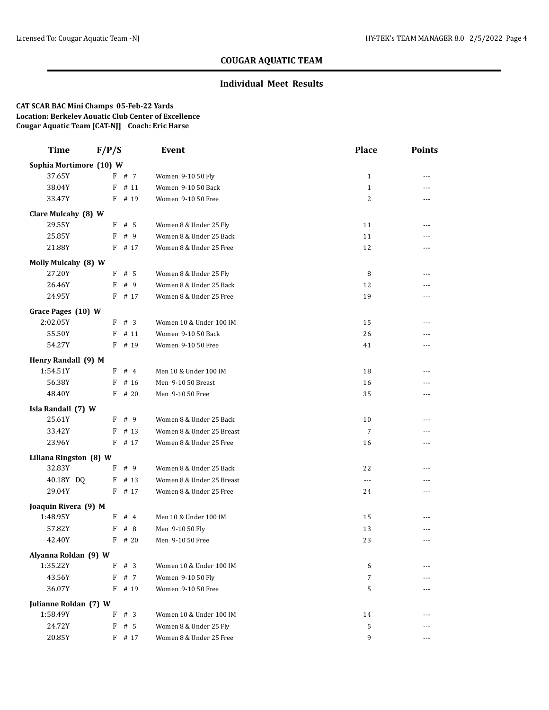### **Individual Meet Results**

| <b>Time</b>             | F/P/S     | Event                     | <b>Place</b>   | <b>Points</b>  |  |
|-------------------------|-----------|---------------------------|----------------|----------------|--|
| Sophia Mortimore (10) W |           |                           |                |                |  |
| 37.65Y                  | F # 7     | Women 9-10 50 Fly         | $\mathbf{1}$   | ---            |  |
| 38.04Y                  | $F$ # 11  | Women 9-10 50 Back        | $\mathbf{1}$   | ---            |  |
| 33.47Y                  | F # 19    | Women 9-10 50 Free        | $\sqrt{2}$     | ---            |  |
| Clare Mulcahy (8) W     |           |                           |                |                |  |
| 29.55Y                  | $F$ # 5   | Women 8 & Under 25 Fly    | 11             | ---            |  |
| 25.85Y                  | # 9<br>F  | Women 8 & Under 25 Back   | 11             | ---            |  |
| 21.88Y                  | F<br># 17 | Women 8 & Under 25 Free   | 12             | ---            |  |
| Molly Mulcahy (8) W     |           |                           |                |                |  |
| 27.20Y                  | $F$ # 5   | Women 8 & Under 25 Fly    | 8              | ---            |  |
| 26.46Y                  | F<br># 9  | Women 8 & Under 25 Back   | 12             | ---            |  |
| 24.95Y                  | $F$ # 17  | Women 8 & Under 25 Free   | 19             | ---            |  |
| Grace Pages (10) W      |           |                           |                |                |  |
| 2:02.05Y                | $F$ # 3   | Women 10 & Under 100 IM   | 15             | $- - -$        |  |
| 55.50Y                  | # 11<br>F | Women 9-10 50 Back        | 26             |                |  |
| 54.27Y                  | $F$ # 19  | Women 9-10 50 Free        | 41             | ---            |  |
| Henry Randall (9) M     |           |                           |                |                |  |
| 1:54.51Y                | $F$ # 4   | Men 10 & Under 100 IM     | 18             | ---            |  |
| 56.38Y                  | # 16<br>F | Men 9-10 50 Breast        | 16             | ---            |  |
| 48.40Y                  | $F$ # 20  | Men 9-10 50 Free          | 35             | ---            |  |
| Isla Randall (7) W      |           |                           |                |                |  |
| 25.61Y                  | $F$ # 9   | Women 8 & Under 25 Back   | 10             | ---            |  |
| 33.42Y                  | # 13<br>F | Women 8 & Under 25 Breast | $\overline{7}$ | ---            |  |
| 23.96Y                  | $F$ # 17  | Women 8 & Under 25 Free   | 16             | ---            |  |
| Liliana Ringston (8) W  |           |                           |                |                |  |
| 32.83Y                  | # 9<br>F  | Women 8 & Under 25 Back   | 22             | ---            |  |
| 40.18Y DQ               | $F$ # 13  | Women 8 & Under 25 Breast | ---            |                |  |
| 29.04Y                  | $F$ # 17  | Women 8 & Under 25 Free   | 24             | ---            |  |
| Joaquin Rivera (9) M    |           |                           |                |                |  |
| 1:48.95Y                | $F$ # 4   | Men 10 & Under 100 IM     | 15             | $\overline{a}$ |  |
| 57.82Y                  | F<br>#8   | Men 9-10 50 Fly           | 13             |                |  |
| 42.40Y                  | $F$ # 20  | Men 9-10 50 Free          | 23             | $---$          |  |
| Alyanna Roldan (9) W    |           |                           |                |                |  |
| 1:35.22Y                | F<br># 3  | Women 10 & Under 100 IM   | 6              |                |  |
| 43.56Y                  | F # 7     | Women 9-10 50 Fly         | 7              |                |  |
| 36.07Y                  | F # 19    | Women 9-10 50 Free        | 5              |                |  |
| Julianne Roldan (7) W   |           |                           |                |                |  |
| 1:58.49Y                | F # 3     | Women 10 & Under 100 IM   | 14             | ---            |  |
| 24.72Y                  | $F$ # 5   | Women 8 & Under 25 Fly    | 5              | ---            |  |
| 20.85Y                  | F # 17    | Women 8 & Under 25 Free   | 9              | ---            |  |